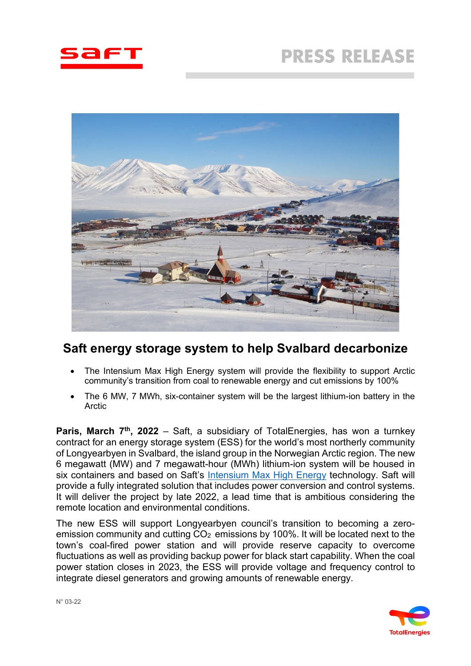



# **Saft energy storage system to help Svalbard decarbonize**

- The Intensium Max High Energy system will provide the flexibility to support Arctic community's transition from coal to renewable energy and cut emissions by 100%
- The 6 MW, 7 MWh, six-container system will be the largest lithium-ion battery in the Arctic

**Paris, March 7<sup>th</sup>, 2022** – Saft, a subsidiary of TotalEnergies, has won a turnkey contract for an energy storage system (ESS) for the world's most northerly community of Longyearbyen in Svalbard, the island group in the Norwegian Arctic region. The new 6 megawatt (MW) and 7 megawatt-hour (MWh) lithium-ion system will be housed in six containers and based on Saft's [Intensium Max High Energy](https://www.saftbatteries.com/products-solutions/products/intensium%C2%AE-max-20-high-energy-lfp) technology. Saft will provide a fully integrated solution that includes power conversion and control systems. It will deliver the project by late 2022, a lead time that is ambitious considering the remote location and environmental conditions.

The new ESS will support Longyearbyen council's transition to becoming a zeroemission community and cutting  $CO<sub>2</sub>$  emissions by 100%. It will be located next to the town's coal-fired power station and will provide reserve capacity to overcome fluctuations as well as providing backup power for black start capability. When the coal power station closes in 2023, the ESS will provide voltage and frequency control to integrate diesel generators and growing amounts of renewable energy.

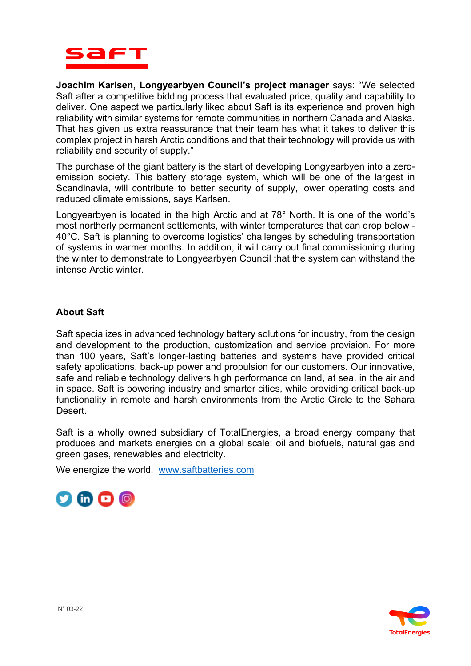

**Joachim Karlsen, Longyearbyen Council's project manager** says: "We selected Saft after a competitive bidding process that evaluated price, quality and capability to deliver. One aspect we particularly liked about Saft is its experience and proven high reliability with similar systems for remote communities in northern Canada and Alaska. That has given us extra reassurance that their team has what it takes to deliver this complex project in harsh Arctic conditions and that their technology will provide us with reliability and security of supply."

The purchase of the giant battery is the start of developing Longyearbyen into a zeroemission society. This battery storage system, which will be one of the largest in Scandinavia, will contribute to better security of supply, lower operating costs and reduced climate emissions, says Karlsen.

Longyearbyen is located in the high Arctic and at 78° North. It is one of the world's most northerly permanent settlements, with winter temperatures that can drop below - 40°C. Saft is planning to overcome logistics' challenges by scheduling transportation of systems in warmer months. In addition, it will carry out final commissioning during the winter to demonstrate to Longyearbyen Council that the system can withstand the intense Arctic winter.

## **About Saft**

Saft specializes in advanced technology battery solutions for industry, from the design and development to the production, customization and service provision. For more than 100 years, Saft's longer-lasting batteries and systems have provided critical safety applications, back-up power and propulsion for our customers. Our innovative, safe and reliable technology delivers high performance on land, at sea, in the air and in space. Saft is powering industry and smarter cities, while providing critical back-up functionality in remote and harsh environments from the Arctic Circle to the Sahara Desert.

Saft is a wholly owned subsidiary of TotalEnergies, a broad energy company that produces and markets energies on a global scale: oil and biofuels, natural gas and green gases, renewables and electricity.

We energize the world. [www.saftbatteries.com](http://www.saftbatteries.com/)